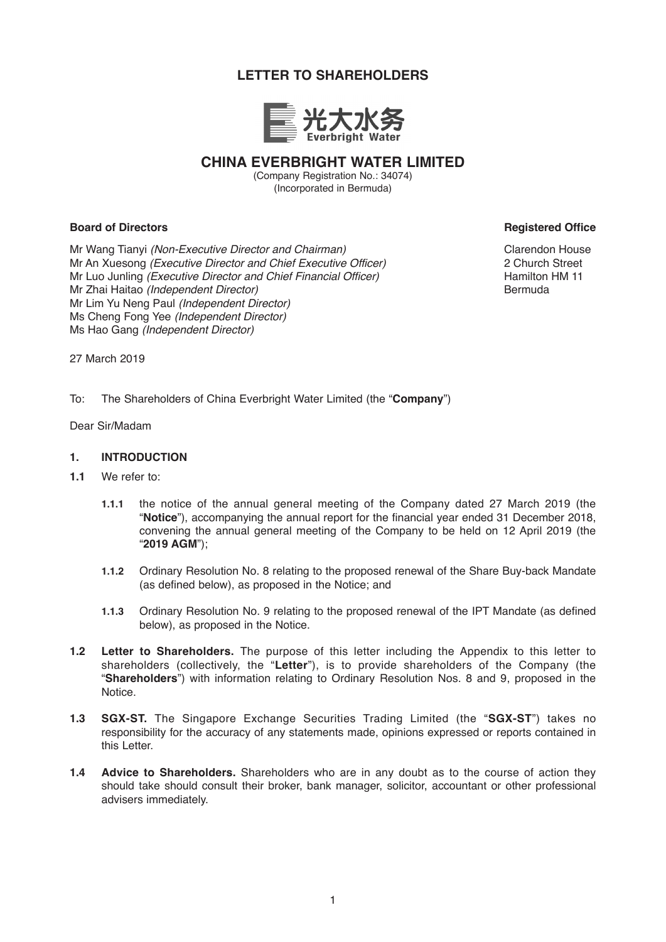# **LETTER TO SHAREHOLDERS**



# **CHINA EVERBRIGHT WATER LIMITED**

(Company Registration No.: 34074) (Incorporated in Bermuda)

# **Board of Directors Contract Contract Contract Contract Contract Contract Contract Contract Contract Contract Contract Contract Contract Contract Contract Contract Contract Contract Contract Contract Contract Contract Cont**

Mr Wang Tianyi *(Non-Executive Director and Chairman)* Mr An Xuesong *(Executive Director and Chief Executive Officer)* Mr Luo Junling *(Executive Director and Chief Financial Officer)* Mr Zhai Haitao *(Independent Director)* Mr Lim Yu Neng Paul *(Independent Director)* Ms Cheng Fong Yee *(Independent Director)* Ms Hao Gang *(Independent Director)*

Clarendon House 2 Church Street Hamilton HM 11 Bermuda

27 March 2019

To: The Shareholders of China Everbright Water Limited (the "**Company**")

Dear Sir/Madam

#### **1. INTRODUCTION**

- **1.1** We refer to:
	- **1.1.1** the notice of the annual general meeting of the Company dated 27 March 2019 (the "**Notice**"), accompanying the annual report for the financial year ended 31 December 2018, convening the annual general meeting of the Company to be held on 12 April 2019 (the "**2019 AGM**");
	- **1.1.2** Ordinary Resolution No. 8 relating to the proposed renewal of the Share Buy-back Mandate (as defined below), as proposed in the Notice; and
	- **1.1.3** Ordinary Resolution No. 9 relating to the proposed renewal of the IPT Mandate (as defined below), as proposed in the Notice.
- **1.2 Letter to Shareholders.** The purpose of this letter including the Appendix to this letter to shareholders (collectively, the "**Letter**"), is to provide shareholders of the Company (the "**Shareholders**") with information relating to Ordinary Resolution Nos. 8 and 9, proposed in the Notice.
- **1.3 SGX-ST.** The Singapore Exchange Securities Trading Limited (the "**SGX-ST**") takes no responsibility for the accuracy of any statements made, opinions expressed or reports contained in this Letter.
- **1.4 Advice to Shareholders.** Shareholders who are in any doubt as to the course of action they should take should consult their broker, bank manager, solicitor, accountant or other professional advisers immediately.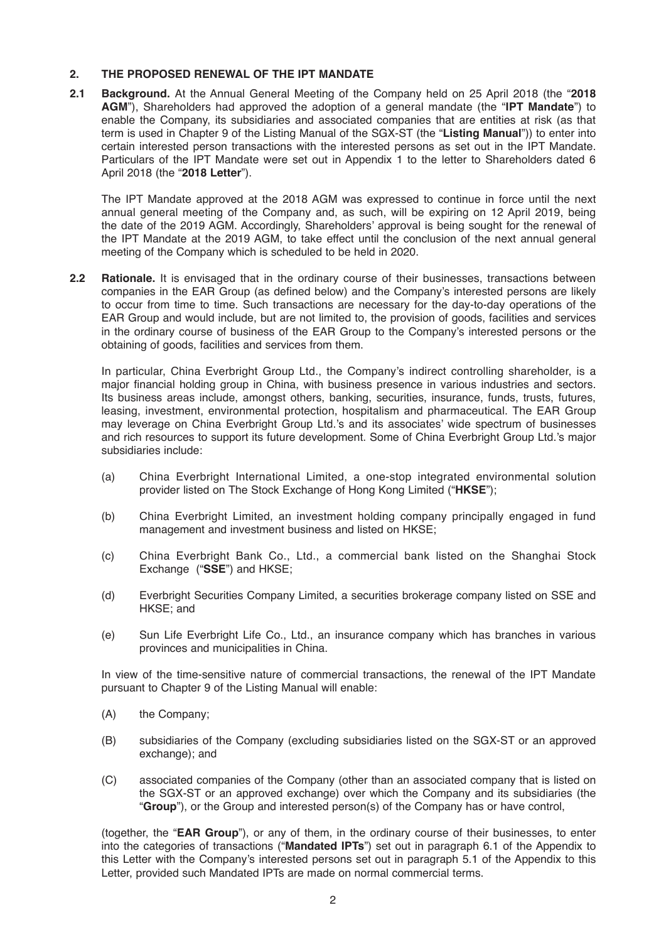# **2. THE PROPOSED RENEWAL OF THE IPT MANDATE**

**2.1 Background.** At the Annual General Meeting of the Company held on 25 April 2018 (the "**2018 AGM**"), Shareholders had approved the adoption of a general mandate (the "**IPT Mandate**") to enable the Company, its subsidiaries and associated companies that are entities at risk (as that term is used in Chapter 9 of the Listing Manual of the SGX-ST (the "**Listing Manual**")) to enter into certain interested person transactions with the interested persons as set out in the IPT Mandate. Particulars of the IPT Mandate were set out in Appendix 1 to the letter to Shareholders dated 6 April 2018 (the "**2018 Letter**").

The IPT Mandate approved at the 2018 AGM was expressed to continue in force until the next annual general meeting of the Company and, as such, will be expiring on 12 April 2019, being the date of the 2019 AGM. Accordingly, Shareholders' approval is being sought for the renewal of the IPT Mandate at the 2019 AGM, to take effect until the conclusion of the next annual general meeting of the Company which is scheduled to be held in 2020.

**2.2 Rationale.** It is envisaged that in the ordinary course of their businesses, transactions between companies in the EAR Group (as defined below) and the Company's interested persons are likely to occur from time to time. Such transactions are necessary for the day-to-day operations of the EAR Group and would include, but are not limited to, the provision of goods, facilities and services in the ordinary course of business of the EAR Group to the Company's interested persons or the obtaining of goods, facilities and services from them.

In particular, China Everbright Group Ltd., the Company's indirect controlling shareholder, is a major financial holding group in China, with business presence in various industries and sectors. Its business areas include, amongst others, banking, securities, insurance, funds, trusts, futures, leasing, investment, environmental protection, hospitalism and pharmaceutical. The EAR Group may leverage on China Everbright Group Ltd.'s and its associates' wide spectrum of businesses and rich resources to support its future development. Some of China Everbright Group Ltd.'s major subsidiaries include:

- (a) China Everbright International Limited, a one-stop integrated environmental solution provider listed on The Stock Exchange of Hong Kong Limited ("**HKSE**");
- (b) China Everbright Limited, an investment holding company principally engaged in fund management and investment business and listed on HKSE;
- (c) China Everbright Bank Co., Ltd., a commercial bank listed on the Shanghai Stock Exchange ("**SSE**") and HKSE;
- (d) Everbright Securities Company Limited, a securities brokerage company listed on SSE and HKSE; and
- (e) Sun Life Everbright Life Co., Ltd., an insurance company which has branches in various provinces and municipalities in China.

In view of the time-sensitive nature of commercial transactions, the renewal of the IPT Mandate pursuant to Chapter 9 of the Listing Manual will enable:

- (A) the Company;
- (B) subsidiaries of the Company (excluding subsidiaries listed on the SGX-ST or an approved exchange); and
- (C) associated companies of the Company (other than an associated company that is listed on the SGX-ST or an approved exchange) over which the Company and its subsidiaries (the "**Group**"), or the Group and interested person(s) of the Company has or have control,

(together, the "**EAR Group**"), or any of them, in the ordinary course of their businesses, to enter into the categories of transactions ("**Mandated IPTs**") set out in paragraph 6.1 of the Appendix to this Letter with the Company's interested persons set out in paragraph 5.1 of the Appendix to this Letter, provided such Mandated IPTs are made on normal commercial terms.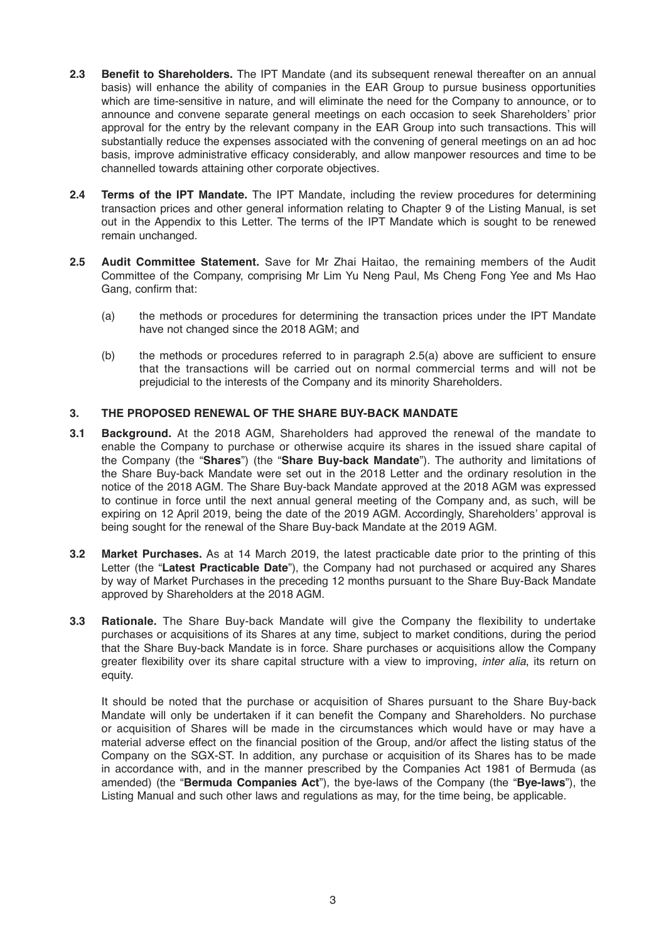- **2.3 Benefit to Shareholders.** The IPT Mandate (and its subsequent renewal thereafter on an annual basis) will enhance the ability of companies in the EAR Group to pursue business opportunities which are time-sensitive in nature, and will eliminate the need for the Company to announce, or to announce and convene separate general meetings on each occasion to seek Shareholders' prior approval for the entry by the relevant company in the EAR Group into such transactions. This will substantially reduce the expenses associated with the convening of general meetings on an ad hoc basis, improve administrative efficacy considerably, and allow manpower resources and time to be channelled towards attaining other corporate objectives.
- **2.4 Terms of the IPT Mandate.** The IPT Mandate, including the review procedures for determining transaction prices and other general information relating to Chapter 9 of the Listing Manual, is set out in the Appendix to this Letter. The terms of the IPT Mandate which is sought to be renewed remain unchanged.
- **2.5 Audit Committee Statement.** Save for Mr Zhai Haitao, the remaining members of the Audit Committee of the Company, comprising Mr Lim Yu Neng Paul, Ms Cheng Fong Yee and Ms Hao Gang, confirm that:
	- (a) the methods or procedures for determining the transaction prices under the IPT Mandate have not changed since the 2018 AGM; and
	- (b) the methods or procedures referred to in paragraph 2.5(a) above are sufficient to ensure that the transactions will be carried out on normal commercial terms and will not be prejudicial to the interests of the Company and its minority Shareholders.

# **3. THE PROPOSED RENEWAL OF THE SHARE BUY-BACK MANDATE**

- **3.1 Background.** At the 2018 AGM, Shareholders had approved the renewal of the mandate to enable the Company to purchase or otherwise acquire its shares in the issued share capital of the Company (the "**Shares**") (the "**Share Buy-back Mandate**"). The authority and limitations of the Share Buy-back Mandate were set out in the 2018 Letter and the ordinary resolution in the notice of the 2018 AGM. The Share Buy-back Mandate approved at the 2018 AGM was expressed to continue in force until the next annual general meeting of the Company and, as such, will be expiring on 12 April 2019, being the date of the 2019 AGM. Accordingly, Shareholders' approval is being sought for the renewal of the Share Buy-back Mandate at the 2019 AGM.
- **3.2 Market Purchases.** As at 14 March 2019, the latest practicable date prior to the printing of this Letter (the "**Latest Practicable Date**"), the Company had not purchased or acquired any Shares by way of Market Purchases in the preceding 12 months pursuant to the Share Buy-Back Mandate approved by Shareholders at the 2018 AGM.
- **3.3 Rationale.** The Share Buy-back Mandate will give the Company the flexibility to undertake purchases or acquisitions of its Shares at any time, subject to market conditions, during the period that the Share Buy-back Mandate is in force. Share purchases or acquisitions allow the Company greater flexibility over its share capital structure with a view to improving, *inter alia*, its return on equity.

It should be noted that the purchase or acquisition of Shares pursuant to the Share Buy-back Mandate will only be undertaken if it can benefit the Company and Shareholders. No purchase or acquisition of Shares will be made in the circumstances which would have or may have a material adverse effect on the financial position of the Group, and/or affect the listing status of the Company on the SGX-ST. In addition, any purchase or acquisition of its Shares has to be made in accordance with, and in the manner prescribed by the Companies Act 1981 of Bermuda (as amended) (the "**Bermuda Companies Act**"), the bye-laws of the Company (the "**Bye-laws**"), the Listing Manual and such other laws and regulations as may, for the time being, be applicable.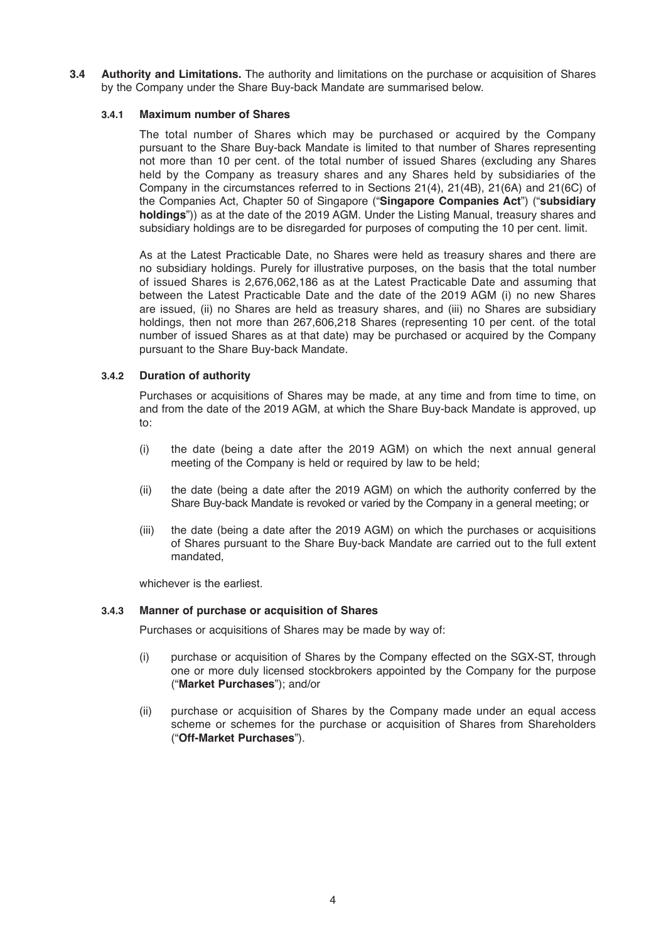**3.4 Authority and Limitations.** The authority and limitations on the purchase or acquisition of Shares by the Company under the Share Buy-back Mandate are summarised below.

#### **3.4.1 Maximum number of Shares**

The total number of Shares which may be purchased or acquired by the Company pursuant to the Share Buy-back Mandate is limited to that number of Shares representing not more than 10 per cent. of the total number of issued Shares (excluding any Shares held by the Company as treasury shares and any Shares held by subsidiaries of the Company in the circumstances referred to in Sections 21(4), 21(4B), 21(6A) and 21(6C) of the Companies Act, Chapter 50 of Singapore ("**Singapore Companies Act**") ("**subsidiary holdings**")) as at the date of the 2019 AGM. Under the Listing Manual, treasury shares and subsidiary holdings are to be disregarded for purposes of computing the 10 per cent. limit.

As at the Latest Practicable Date, no Shares were held as treasury shares and there are no subsidiary holdings. Purely for illustrative purposes, on the basis that the total number of issued Shares is 2,676,062,186 as at the Latest Practicable Date and assuming that between the Latest Practicable Date and the date of the 2019 AGM (i) no new Shares are issued, (ii) no Shares are held as treasury shares, and (iii) no Shares are subsidiary holdings, then not more than 267,606,218 Shares (representing 10 per cent. of the total number of issued Shares as at that date) may be purchased or acquired by the Company pursuant to the Share Buy-back Mandate.

#### **3.4.2 Duration of authority**

 Purchases or acquisitions of Shares may be made, at any time and from time to time, on and from the date of the 2019 AGM, at which the Share Buy-back Mandate is approved, up to:

- (i) the date (being a date after the 2019 AGM) on which the next annual general meeting of the Company is held or required by law to be held;
- (ii) the date (being a date after the 2019 AGM) on which the authority conferred by the Share Buy-back Mandate is revoked or varied by the Company in a general meeting; or
- (iii) the date (being a date after the 2019 AGM) on which the purchases or acquisitions of Shares pursuant to the Share Buy-back Mandate are carried out to the full extent mandated,

whichever is the earliest.

#### **3.4.3 Manner of purchase or acquisition of Shares**

Purchases or acquisitions of Shares may be made by way of:

- (i) purchase or acquisition of Shares by the Company effected on the SGX-ST, through one or more duly licensed stockbrokers appointed by the Company for the purpose ("**Market Purchases**"); and/or
- (ii) purchase or acquisition of Shares by the Company made under an equal access scheme or schemes for the purchase or acquisition of Shares from Shareholders ("**Off-Market Purchases**").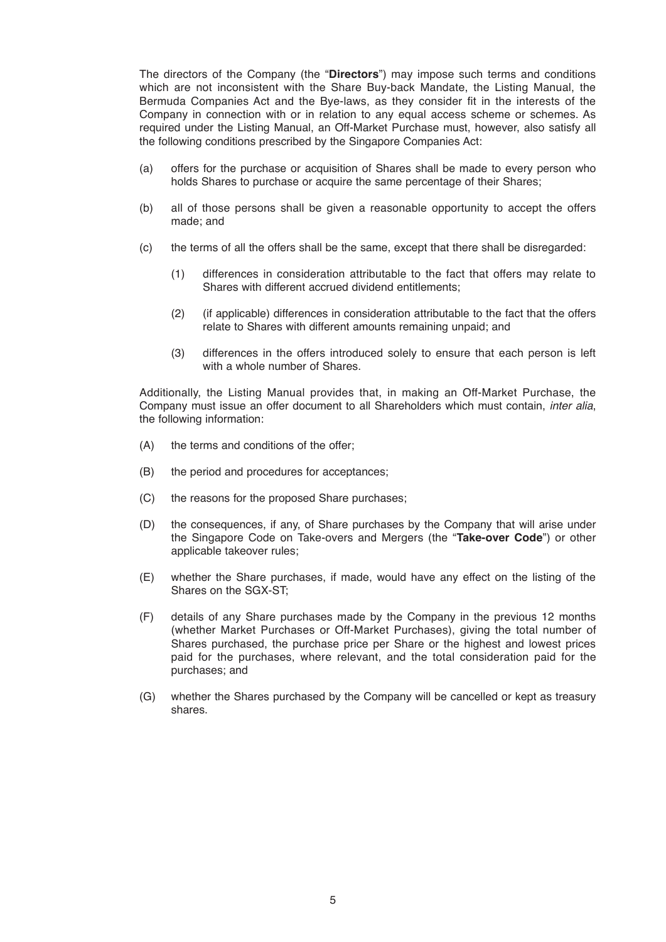The directors of the Company (the "**Directors**") may impose such terms and conditions which are not inconsistent with the Share Buy-back Mandate, the Listing Manual, the Bermuda Companies Act and the Bye-laws, as they consider fit in the interests of the Company in connection with or in relation to any equal access scheme or schemes. As required under the Listing Manual, an Off-Market Purchase must, however, also satisfy all the following conditions prescribed by the Singapore Companies Act:

- (a) offers for the purchase or acquisition of Shares shall be made to every person who holds Shares to purchase or acquire the same percentage of their Shares;
- (b) all of those persons shall be given a reasonable opportunity to accept the offers made; and
- (c) the terms of all the offers shall be the same, except that there shall be disregarded:
	- (1) differences in consideration attributable to the fact that offers may relate to Shares with different accrued dividend entitlements;
	- (2) (if applicable) differences in consideration attributable to the fact that the offers relate to Shares with different amounts remaining unpaid; and
	- (3) differences in the offers introduced solely to ensure that each person is left with a whole number of Shares.

Additionally, the Listing Manual provides that, in making an Off-Market Purchase, the Company must issue an offer document to all Shareholders which must contain, *inter alia*, the following information:

- (A) the terms and conditions of the offer;
- (B) the period and procedures for acceptances;
- (C) the reasons for the proposed Share purchases;
- (D) the consequences, if any, of Share purchases by the Company that will arise under the Singapore Code on Take-overs and Mergers (the "**Take-over Code**") or other applicable takeover rules;
- (E) whether the Share purchases, if made, would have any effect on the listing of the Shares on the SGX-ST;
- (F) details of any Share purchases made by the Company in the previous 12 months (whether Market Purchases or Off-Market Purchases), giving the total number of Shares purchased, the purchase price per Share or the highest and lowest prices paid for the purchases, where relevant, and the total consideration paid for the purchases; and
- (G) whether the Shares purchased by the Company will be cancelled or kept as treasury shares.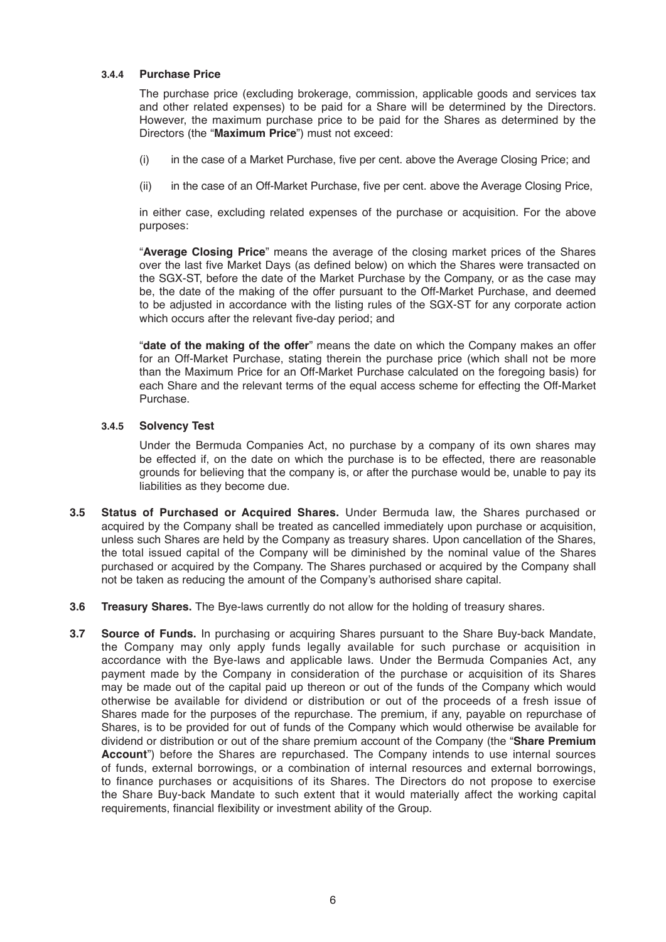#### **3.4.4 Purchase Price**

The purchase price (excluding brokerage, commission, applicable goods and services tax and other related expenses) to be paid for a Share will be determined by the Directors. However, the maximum purchase price to be paid for the Shares as determined by the Directors (the "**Maximum Price**") must not exceed:

- (i) in the case of a Market Purchase, five per cent. above the Average Closing Price; and
- (ii) in the case of an Off-Market Purchase, five per cent. above the Average Closing Price,

 in either case, excluding related expenses of the purchase or acquisition. For the above purposes:

 "**Average Closing Price**" means the average of the closing market prices of the Shares over the last five Market Days (as defined below) on which the Shares were transacted on the SGX-ST, before the date of the Market Purchase by the Company, or as the case may be, the date of the making of the offer pursuant to the Off-Market Purchase, and deemed to be adjusted in accordance with the listing rules of the SGX-ST for any corporate action which occurs after the relevant five-day period; and

 "**date of the making of the offer**" means the date on which the Company makes an offer for an Off-Market Purchase, stating therein the purchase price (which shall not be more than the Maximum Price for an Off-Market Purchase calculated on the foregoing basis) for each Share and the relevant terms of the equal access scheme for effecting the Off-Market Purchase.

#### **3.4.5 Solvency Test**

Under the Bermuda Companies Act, no purchase by a company of its own shares may be effected if, on the date on which the purchase is to be effected, there are reasonable grounds for believing that the company is, or after the purchase would be, unable to pay its liabilities as they become due.

- **3.5 Status of Purchased or Acquired Shares.** Under Bermuda law, the Shares purchased or acquired by the Company shall be treated as cancelled immediately upon purchase or acquisition, unless such Shares are held by the Company as treasury shares. Upon cancellation of the Shares, the total issued capital of the Company will be diminished by the nominal value of the Shares purchased or acquired by the Company. The Shares purchased or acquired by the Company shall not be taken as reducing the amount of the Company's authorised share capital.
- **3.6 Treasury Shares.** The Bye-laws currently do not allow for the holding of treasury shares.
- **3.7 Source of Funds.** In purchasing or acquiring Shares pursuant to the Share Buy-back Mandate, the Company may only apply funds legally available for such purchase or acquisition in accordance with the Bye-laws and applicable laws. Under the Bermuda Companies Act, any payment made by the Company in consideration of the purchase or acquisition of its Shares may be made out of the capital paid up thereon or out of the funds of the Company which would otherwise be available for dividend or distribution or out of the proceeds of a fresh issue of Shares made for the purposes of the repurchase. The premium, if any, payable on repurchase of Shares, is to be provided for out of funds of the Company which would otherwise be available for dividend or distribution or out of the share premium account of the Company (the "**Share Premium Account**") before the Shares are repurchased. The Company intends to use internal sources of funds, external borrowings, or a combination of internal resources and external borrowings, to finance purchases or acquisitions of its Shares. The Directors do not propose to exercise the Share Buy-back Mandate to such extent that it would materially affect the working capital requirements, financial flexibility or investment ability of the Group.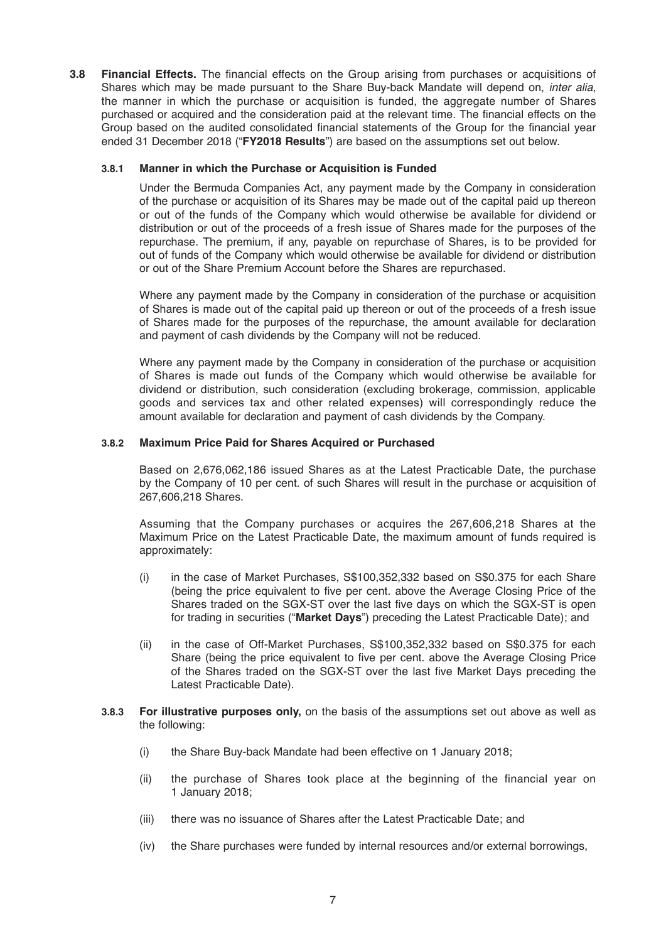**3.8 Financial Effects.** The financial effects on the Group arising from purchases or acquisitions of Shares which may be made pursuant to the Share Buy-back Mandate will depend on, *inter alia*, the manner in which the purchase or acquisition is funded, the aggregate number of Shares purchased or acquired and the consideration paid at the relevant time. The financial effects on the Group based on the audited consolidated financial statements of the Group for the financial year ended 31 December 2018 ("**FY2018 Results**") are based on the assumptions set out below.

#### **3.8.1 Manner in which the Purchase or Acquisition is Funded**

 Under the Bermuda Companies Act, any payment made by the Company in consideration of the purchase or acquisition of its Shares may be made out of the capital paid up thereon or out of the funds of the Company which would otherwise be available for dividend or distribution or out of the proceeds of a fresh issue of Shares made for the purposes of the repurchase. The premium, if any, payable on repurchase of Shares, is to be provided for out of funds of the Company which would otherwise be available for dividend or distribution or out of the Share Premium Account before the Shares are repurchased.

 Where any payment made by the Company in consideration of the purchase or acquisition of Shares is made out of the capital paid up thereon or out of the proceeds of a fresh issue of Shares made for the purposes of the repurchase, the amount available for declaration and payment of cash dividends by the Company will not be reduced.

 Where any payment made by the Company in consideration of the purchase or acquisition of Shares is made out funds of the Company which would otherwise be available for dividend or distribution, such consideration (excluding brokerage, commission, applicable goods and services tax and other related expenses) will correspondingly reduce the amount available for declaration and payment of cash dividends by the Company.

#### **3.8.2 Maximum Price Paid for Shares Acquired or Purchased**

Based on 2,676,062,186 issued Shares as at the Latest Practicable Date, the purchase by the Company of 10 per cent. of such Shares will result in the purchase or acquisition of 267,606,218 Shares.

Assuming that the Company purchases or acquires the 267,606,218 Shares at the Maximum Price on the Latest Practicable Date, the maximum amount of funds required is approximately:

- (i) in the case of Market Purchases, S\$100,352,332 based on S\$0.375 for each Share (being the price equivalent to five per cent. above the Average Closing Price of the Shares traded on the SGX-ST over the last five days on which the SGX-ST is open for trading in securities ("**Market Days**") preceding the Latest Practicable Date); and
- (ii) in the case of Off-Market Purchases, S\$100,352,332 based on S\$0.375 for each Share (being the price equivalent to five per cent. above the Average Closing Price of the Shares traded on the SGX-ST over the last five Market Days preceding the Latest Practicable Date).
- **3.8.3 For illustrative purposes only,** on the basis of the assumptions set out above as well as the following:
	- (i) the Share Buy-back Mandate had been effective on 1 January 2018;
	- (ii) the purchase of Shares took place at the beginning of the financial year on 1 January 2018;
	- (iii) there was no issuance of Shares after the Latest Practicable Date; and
	- (iv) the Share purchases were funded by internal resources and/or external borrowings,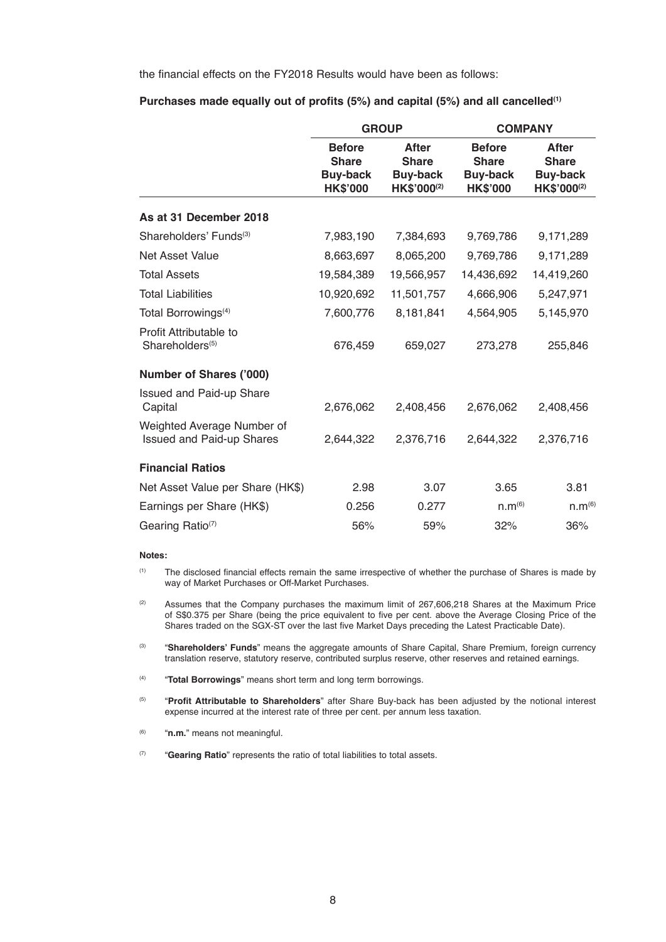the financial effects on the FY2018 Results would have been as follows:

|                                                                | <b>GROUP</b>                                                        |                                                                | <b>COMPANY</b>     |                                                                |
|----------------------------------------------------------------|---------------------------------------------------------------------|----------------------------------------------------------------|--------------------|----------------------------------------------------------------|
|                                                                | <b>Before</b><br><b>Share</b><br><b>Buy-back</b><br><b>HK\$'000</b> | <b>After</b><br><b>Share</b><br><b>Buy-back</b><br>HK\$'000(2) |                    | <b>After</b><br><b>Share</b><br><b>Buy-back</b><br>HK\$'000(2) |
| As at 31 December 2018                                         |                                                                     |                                                                |                    |                                                                |
| Shareholders' Funds <sup>(3)</sup>                             | 7,983,190                                                           | 7,384,693                                                      | 9,769,786          | 9,171,289                                                      |
| Net Asset Value                                                | 8,663,697                                                           | 8,065,200                                                      | 9,769,786          | 9,171,289                                                      |
| <b>Total Assets</b>                                            | 19,584,389                                                          | 19,566,957                                                     | 14,436,692         | 14,419,260                                                     |
| <b>Total Liabilities</b>                                       | 10,920,692                                                          | 11,501,757                                                     | 4,666,906          | 5,247,971                                                      |
| Total Borrowings <sup>(4)</sup>                                | 7,600,776                                                           | 8,181,841                                                      | 4,564,905          | 5,145,970                                                      |
| Profit Attributable to<br>Shareholders <sup>(5)</sup>          | 676,459                                                             | 659,027                                                        | 273,278            | 255,846                                                        |
| <b>Number of Shares ('000)</b>                                 |                                                                     |                                                                |                    |                                                                |
| <b>Issued and Paid-up Share</b><br>Capital                     | 2,676,062                                                           | 2,408,456                                                      | 2,676,062          | 2,408,456                                                      |
| Weighted Average Number of<br><b>Issued and Paid-up Shares</b> | 2,644,322                                                           | 2,376,716                                                      | 2,644,322          | 2,376,716                                                      |
| <b>Financial Ratios</b>                                        |                                                                     |                                                                |                    |                                                                |
| Net Asset Value per Share (HK\$)                               | 2.98                                                                | 3.07                                                           | 3.65               | 3.81                                                           |
| Earnings per Share (HK\$)                                      | 0.256                                                               | 0.277                                                          | n.m <sup>(6)</sup> | n.m <sup>(6)</sup>                                             |
| Gearing Ratio(7)                                               | 56%                                                                 | 59%                                                            | 32%                | 36%                                                            |

#### **Purchases made equally out of profits (5%) and capital (5%) and all cancelled(1)**

#### **Notes:**

 (1) The disclosed financial effects remain the same irrespective of whether the purchase of Shares is made by way of Market Purchases or Off-Market Purchases.

<sup>(2)</sup> Assumes that the Company purchases the maximum limit of 267,606,218 Shares at the Maximum Price of S\$0.375 per Share (being the price equivalent to five per cent. above the Average Closing Price of the Shares traded on the SGX-ST over the last five Market Days preceding the Latest Practicable Date).

 (3) "**Shareholders' Funds**" means the aggregate amounts of Share Capital, Share Premium, foreign currency translation reserve, statutory reserve, contributed surplus reserve, other reserves and retained earnings.

- (4) "**Total Borrowings**" means short term and long term borrowings.
- (5) "**Profit Attributable to Shareholders**" after Share Buy-back has been adjusted by the notional interest expense incurred at the interest rate of three per cent. per annum less taxation.
- (6) "**n.m.**" means not meaningful.
- (7) "**Gearing Ratio**" represents the ratio of total liabilities to total assets.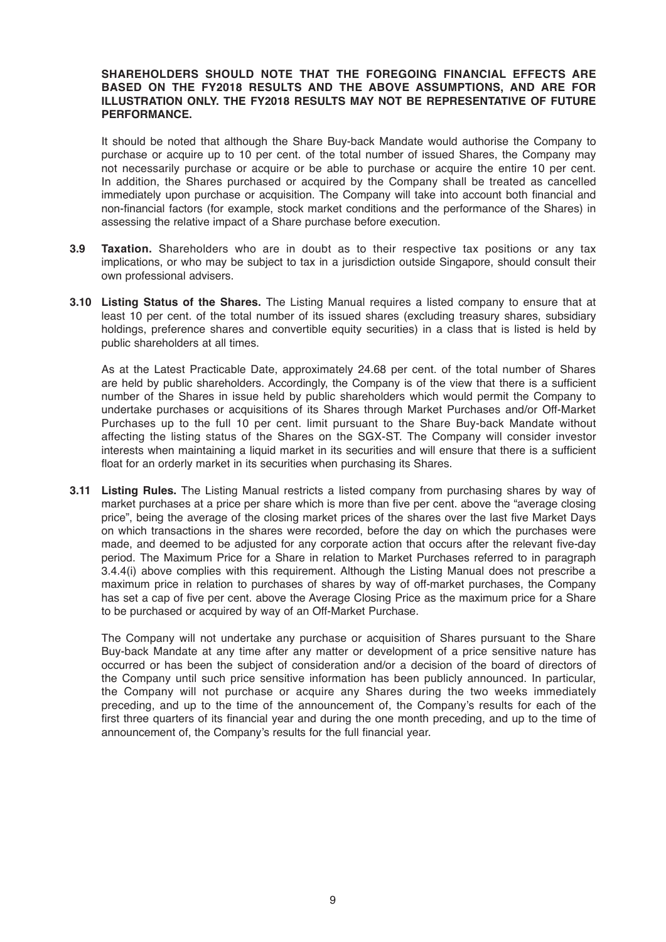#### **SHAREHOLDERS SHOULD NOTE THAT THE FOREGOING FINANCIAL EFFECTS ARE BASED ON THE FY2018 RESULTS AND THE ABOVE ASSUMPTIONS, AND ARE FOR ILLUSTRATION ONLY. THE FY2018 RESULTS MAY NOT BE REPRESENTATIVE OF FUTURE PERFORMANCE.**

It should be noted that although the Share Buy-back Mandate would authorise the Company to purchase or acquire up to 10 per cent. of the total number of issued Shares, the Company may not necessarily purchase or acquire or be able to purchase or acquire the entire 10 per cent. In addition, the Shares purchased or acquired by the Company shall be treated as cancelled immediately upon purchase or acquisition. The Company will take into account both financial and non-financial factors (for example, stock market conditions and the performance of the Shares) in assessing the relative impact of a Share purchase before execution.

- **3.9 Taxation.** Shareholders who are in doubt as to their respective tax positions or any tax implications, or who may be subject to tax in a jurisdiction outside Singapore, should consult their own professional advisers.
- **3.10 Listing Status of the Shares.** The Listing Manual requires a listed company to ensure that at least 10 per cent. of the total number of its issued shares (excluding treasury shares, subsidiary holdings, preference shares and convertible equity securities) in a class that is listed is held by public shareholders at all times.

As at the Latest Practicable Date, approximately 24.68 per cent. of the total number of Shares are held by public shareholders. Accordingly, the Company is of the view that there is a sufficient number of the Shares in issue held by public shareholders which would permit the Company to undertake purchases or acquisitions of its Shares through Market Purchases and/or Off-Market Purchases up to the full 10 per cent. limit pursuant to the Share Buy-back Mandate without affecting the listing status of the Shares on the SGX-ST. The Company will consider investor interests when maintaining a liquid market in its securities and will ensure that there is a sufficient float for an orderly market in its securities when purchasing its Shares.

**3.11 Listing Rules.** The Listing Manual restricts a listed company from purchasing shares by way of market purchases at a price per share which is more than five per cent. above the "average closing price", being the average of the closing market prices of the shares over the last five Market Days on which transactions in the shares were recorded, before the day on which the purchases were made, and deemed to be adjusted for any corporate action that occurs after the relevant five-day period. The Maximum Price for a Share in relation to Market Purchases referred to in paragraph 3.4.4(i) above complies with this requirement. Although the Listing Manual does not prescribe a maximum price in relation to purchases of shares by way of off-market purchases, the Company has set a cap of five per cent. above the Average Closing Price as the maximum price for a Share to be purchased or acquired by way of an Off-Market Purchase.

The Company will not undertake any purchase or acquisition of Shares pursuant to the Share Buy-back Mandate at any time after any matter or development of a price sensitive nature has occurred or has been the subject of consideration and/or a decision of the board of directors of the Company until such price sensitive information has been publicly announced. In particular, the Company will not purchase or acquire any Shares during the two weeks immediately preceding, and up to the time of the announcement of, the Company's results for each of the first three quarters of its financial year and during the one month preceding, and up to the time of announcement of, the Company's results for the full financial year.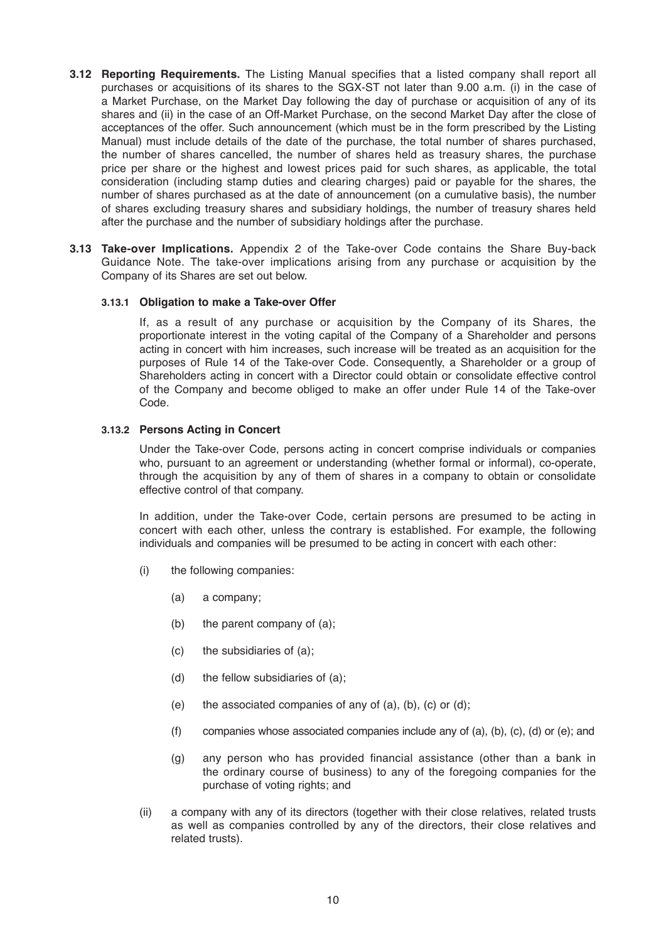- **3.12 Reporting Requirements.** The Listing Manual specifies that a listed company shall report all purchases or acquisitions of its shares to the SGX-ST not later than 9.00 a.m. (i) in the case of a Market Purchase, on the Market Day following the day of purchase or acquisition of any of its shares and (ii) in the case of an Off-Market Purchase, on the second Market Day after the close of acceptances of the offer. Such announcement (which must be in the form prescribed by the Listing Manual) must include details of the date of the purchase, the total number of shares purchased, the number of shares cancelled, the number of shares held as treasury shares, the purchase price per share or the highest and lowest prices paid for such shares, as applicable, the total consideration (including stamp duties and clearing charges) paid or payable for the shares, the number of shares purchased as at the date of announcement (on a cumulative basis), the number of shares excluding treasury shares and subsidiary holdings, the number of treasury shares held after the purchase and the number of subsidiary holdings after the purchase.
- **3.13 Take-over Implications.** Appendix 2 of the Take-over Code contains the Share Buy-back Guidance Note. The take-over implications arising from any purchase or acquisition by the Company of its Shares are set out below.

#### **3.13.1 Obligation to make a Take-over Offer**

 If, as a result of any purchase or acquisition by the Company of its Shares, the proportionate interest in the voting capital of the Company of a Shareholder and persons acting in concert with him increases, such increase will be treated as an acquisition for the purposes of Rule 14 of the Take-over Code. Consequently, a Shareholder or a group of Shareholders acting in concert with a Director could obtain or consolidate effective control of the Company and become obliged to make an offer under Rule 14 of the Take-over Code.

#### **3.13.2 Persons Acting in Concert**

Under the Take-over Code, persons acting in concert comprise individuals or companies who, pursuant to an agreement or understanding (whether formal or informal), co-operate, through the acquisition by any of them of shares in a company to obtain or consolidate effective control of that company.

In addition, under the Take-over Code, certain persons are presumed to be acting in concert with each other, unless the contrary is established. For example, the following individuals and companies will be presumed to be acting in concert with each other:

- (i) the following companies:
	- (a) a company;
	- (b) the parent company of (a);
	- (c) the subsidiaries of (a);
	- (d) the fellow subsidiaries of (a);
	- (e) the associated companies of any of  $(a)$ ,  $(b)$ ,  $(c)$  or  $(d)$ ;
	- (f) companies whose associated companies include any of (a), (b), (c), (d) or (e); and
	- (g) any person who has provided financial assistance (other than a bank in the ordinary course of business) to any of the foregoing companies for the purchase of voting rights; and
- (ii) a company with any of its directors (together with their close relatives, related trusts as well as companies controlled by any of the directors, their close relatives and related trusts).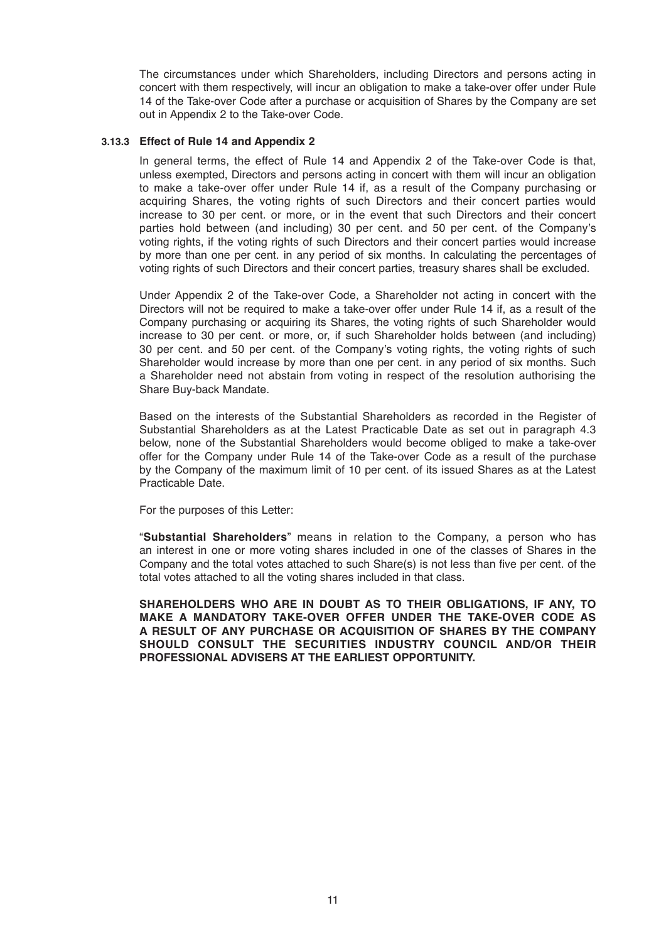The circumstances under which Shareholders, including Directors and persons acting in concert with them respectively, will incur an obligation to make a take-over offer under Rule 14 of the Take-over Code after a purchase or acquisition of Shares by the Company are set out in Appendix 2 to the Take-over Code.

#### **3.13.3 Effect of Rule 14 and Appendix 2**

In general terms, the effect of Rule 14 and Appendix 2 of the Take-over Code is that, unless exempted, Directors and persons acting in concert with them will incur an obligation to make a take-over offer under Rule 14 if, as a result of the Company purchasing or acquiring Shares, the voting rights of such Directors and their concert parties would increase to 30 per cent. or more, or in the event that such Directors and their concert parties hold between (and including) 30 per cent. and 50 per cent. of the Company's voting rights, if the voting rights of such Directors and their concert parties would increase by more than one per cent. in any period of six months. In calculating the percentages of voting rights of such Directors and their concert parties, treasury shares shall be excluded.

Under Appendix 2 of the Take-over Code, a Shareholder not acting in concert with the Directors will not be required to make a take-over offer under Rule 14 if, as a result of the Company purchasing or acquiring its Shares, the voting rights of such Shareholder would increase to 30 per cent. or more, or, if such Shareholder holds between (and including) 30 per cent. and 50 per cent. of the Company's voting rights, the voting rights of such Shareholder would increase by more than one per cent. in any period of six months. Such a Shareholder need not abstain from voting in respect of the resolution authorising the Share Buy-back Mandate.

 Based on the interests of the Substantial Shareholders as recorded in the Register of Substantial Shareholders as at the Latest Practicable Date as set out in paragraph 4.3 below, none of the Substantial Shareholders would become obliged to make a take-over offer for the Company under Rule 14 of the Take-over Code as a result of the purchase by the Company of the maximum limit of 10 per cent. of its issued Shares as at the Latest Practicable Date.

For the purposes of this Letter:

 "**Substantial Shareholders**" means in relation to the Company, a person who has an interest in one or more voting shares included in one of the classes of Shares in the Company and the total votes attached to such Share(s) is not less than five per cent. of the total votes attached to all the voting shares included in that class.

 **SHAREHOLDERS WHO ARE IN DOUBT AS TO THEIR OBLIGATIONS, IF ANY, TO MAKE A MANDATORY TAKE-OVER OFFER UNDER THE TAKE-OVER CODE AS A RESULT OF ANY PURCHASE OR ACQUISITION OF SHARES BY THE COMPANY SHOULD CONSULT THE SECURITIES INDUSTRY COUNCIL AND/OR THEIR PROFESSIONAL ADVISERS AT THE EARLIEST OPPORTUNITY.**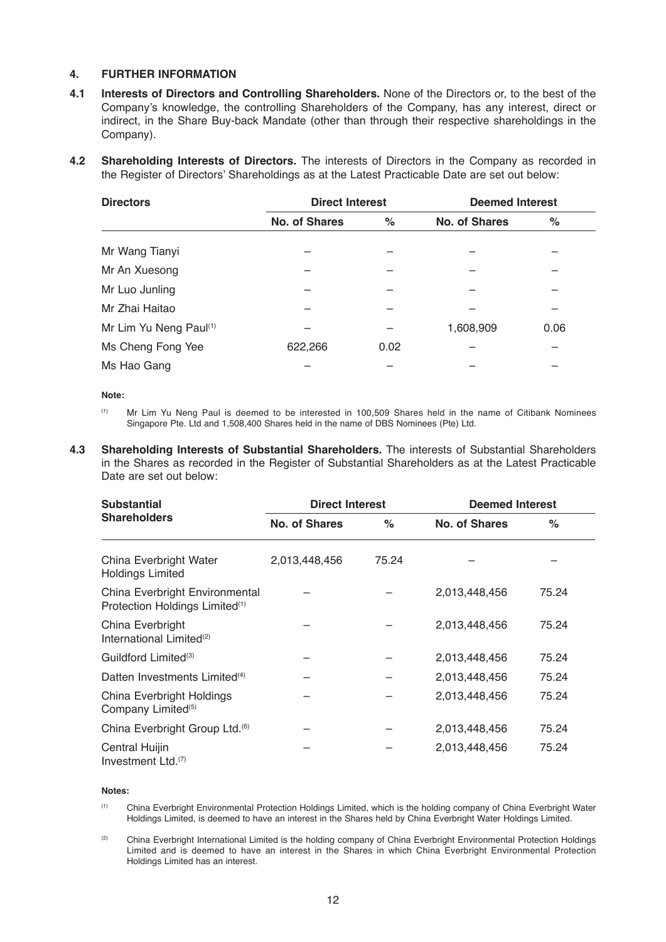# **4. FURTHER INFORMATION**

- **4.1 Interests of Directors and Controlling Shareholders.** None of the Directors or, to the best of the Company's knowledge, the controlling Shareholders of the Company, has any interest, direct or indirect, in the Share Buy-back Mandate (other than through their respective shareholdings in the Company).
- **4.2 Shareholding Interests of Directors.** The interests of Directors in the Company as recorded in the Register of Directors' Shareholdings as at the Latest Practicable Date are set out below:

| <b>Directors</b>       | <b>Direct Interest</b> |      | <b>Deemed Interest</b> |      |
|------------------------|------------------------|------|------------------------|------|
|                        | No. of Shares          | $\%$ | No. of Shares          | $\%$ |
| Mr Wang Tianyi         |                        |      |                        |      |
| Mr An Xuesong          |                        |      |                        |      |
| Mr Luo Junling         |                        |      |                        |      |
| Mr Zhai Haitao         |                        |      |                        |      |
| Mr Lim Yu Neng Paul(1) |                        |      | 1,608,909              | 0.06 |
| Ms Cheng Fong Yee      | 622,266                | 0.02 |                        |      |
| Ms Hao Gang            |                        |      |                        |      |

**Note:**

- (1) Mr Lim Yu Neng Paul is deemed to be interested in 100,509 Shares held in the name of Citibank Nominees Singapore Pte. Ltd and 1,508,400 Shares held in the name of DBS Nominees (Pte) Ltd.
- **4.3 Shareholding Interests of Substantial Shareholders.** The interests of Substantial Shareholders in the Shares as recorded in the Register of Substantial Shareholders as at the Latest Practicable Date are set out below:

| <b>Substantial</b><br><b>Shareholders</b>                                    | <b>Direct Interest</b> |       | <b>Deemed Interest</b> |       |
|------------------------------------------------------------------------------|------------------------|-------|------------------------|-------|
|                                                                              | No. of Shares          | %     | No. of Shares          | %     |
| China Everbright Water<br><b>Holdings Limited</b>                            | 2,013,448,456          | 75.24 |                        |       |
| China Everbright Environmental<br>Protection Holdings Limited <sup>(1)</sup> |                        |       | 2,013,448,456          | 75.24 |
| China Everbright<br>International Limited <sup>(2)</sup>                     |                        |       | 2,013,448,456          | 75.24 |
| Guildford Limited <sup>(3)</sup>                                             |                        |       | 2,013,448,456          | 75.24 |
| Datten Investments Limited <sup>(4)</sup>                                    |                        |       | 2,013,448,456          | 75.24 |
| China Everbright Holdings<br>Company Limited <sup>(5)</sup>                  |                        |       | 2,013,448,456          | 75.24 |
| China Everbright Group Ltd. <sup>(6)</sup>                                   |                        |       | 2,013,448,456          | 75.24 |
| Central Huijin<br>Investment Ltd.(7)                                         |                        |       | 2,013,448,456          | 75.24 |

#### **Notes:**

- (1) China Everbright Environmental Protection Holdings Limited, which is the holding company of China Everbright Water Holdings Limited, is deemed to have an interest in the Shares held by China Everbright Water Holdings Limited.
- (2) China Everbright International Limited is the holding company of China Everbright Environmental Protection Holdings Limited and is deemed to have an interest in the Shares in which China Everbright Environmental Protection Holdings Limited has an interest.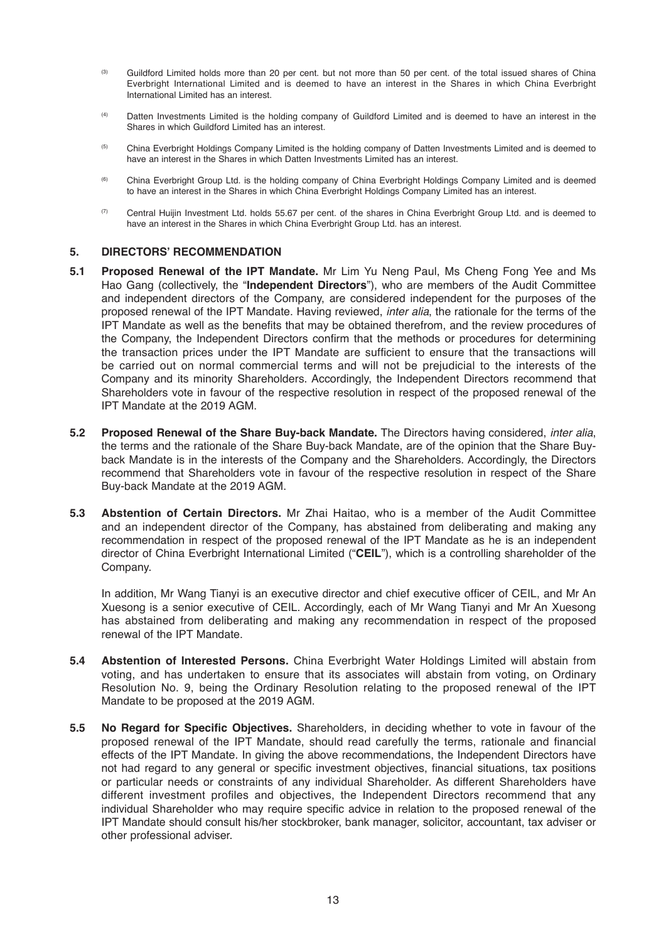- <sup>(3)</sup> Guildford Limited holds more than 20 per cent. but not more than 50 per cent. of the total issued shares of China Everbright International Limited and is deemed to have an interest in the Shares in which China Everbright International Limited has an interest.
- (4) Datten Investments Limited is the holding company of Guildford Limited and is deemed to have an interest in the Shares in which Guildford Limited has an interest.
- <sup>(5)</sup> China Everbright Holdings Company Limited is the holding company of Datten Investments Limited and is deemed to have an interest in the Shares in which Datten Investments Limited has an interest.
- (6) China Everbright Group Ltd. is the holding company of China Everbright Holdings Company Limited and is deemed to have an interest in the Shares in which China Everbright Holdings Company Limited has an interest.
- (7) Central Huijin Investment Ltd. holds 55.67 per cent. of the shares in China Everbright Group Ltd. and is deemed to have an interest in the Shares in which China Everbright Group Ltd. has an interest.

#### **5. DIRECTORS' RECOMMENDATION**

- **5.1 Proposed Renewal of the IPT Mandate.** Mr Lim Yu Neng Paul, Ms Cheng Fong Yee and Ms Hao Gang (collectively, the "**Independent Directors**"), who are members of the Audit Committee and independent directors of the Company, are considered independent for the purposes of the proposed renewal of the IPT Mandate. Having reviewed, *inter alia*, the rationale for the terms of the IPT Mandate as well as the benefits that may be obtained therefrom, and the review procedures of the Company, the Independent Directors confirm that the methods or procedures for determining the transaction prices under the IPT Mandate are sufficient to ensure that the transactions will be carried out on normal commercial terms and will not be prejudicial to the interests of the Company and its minority Shareholders. Accordingly, the Independent Directors recommend that Shareholders vote in favour of the respective resolution in respect of the proposed renewal of the IPT Mandate at the 2019 AGM.
- **5.2 Proposed Renewal of the Share Buy-back Mandate.** The Directors having considered, *inter alia*, the terms and the rationale of the Share Buy-back Mandate, are of the opinion that the Share Buyback Mandate is in the interests of the Company and the Shareholders. Accordingly, the Directors recommend that Shareholders vote in favour of the respective resolution in respect of the Share Buy-back Mandate at the 2019 AGM.
- **5.3 Abstention of Certain Directors.** Mr Zhai Haitao, who is a member of the Audit Committee and an independent director of the Company, has abstained from deliberating and making any recommendation in respect of the proposed renewal of the IPT Mandate as he is an independent director of China Everbright International Limited ("**CEIL**"), which is a controlling shareholder of the Company.

In addition, Mr Wang Tianyi is an executive director and chief executive officer of CEIL, and Mr An Xuesong is a senior executive of CEIL. Accordingly, each of Mr Wang Tianyi and Mr An Xuesong has abstained from deliberating and making any recommendation in respect of the proposed renewal of the IPT Mandate.

- **5.4 Abstention of Interested Persons.** China Everbright Water Holdings Limited will abstain from voting, and has undertaken to ensure that its associates will abstain from voting, on Ordinary Resolution No. 9, being the Ordinary Resolution relating to the proposed renewal of the IPT Mandate to be proposed at the 2019 AGM.
- **5.5 No Regard for Specific Objectives.** Shareholders, in deciding whether to vote in favour of the proposed renewal of the IPT Mandate, should read carefully the terms, rationale and financial effects of the IPT Mandate. In giving the above recommendations, the Independent Directors have not had regard to any general or specific investment objectives, financial situations, tax positions or particular needs or constraints of any individual Shareholder. As different Shareholders have different investment profiles and objectives, the Independent Directors recommend that any individual Shareholder who may require specific advice in relation to the proposed renewal of the IPT Mandate should consult his/her stockbroker, bank manager, solicitor, accountant, tax adviser or other professional adviser.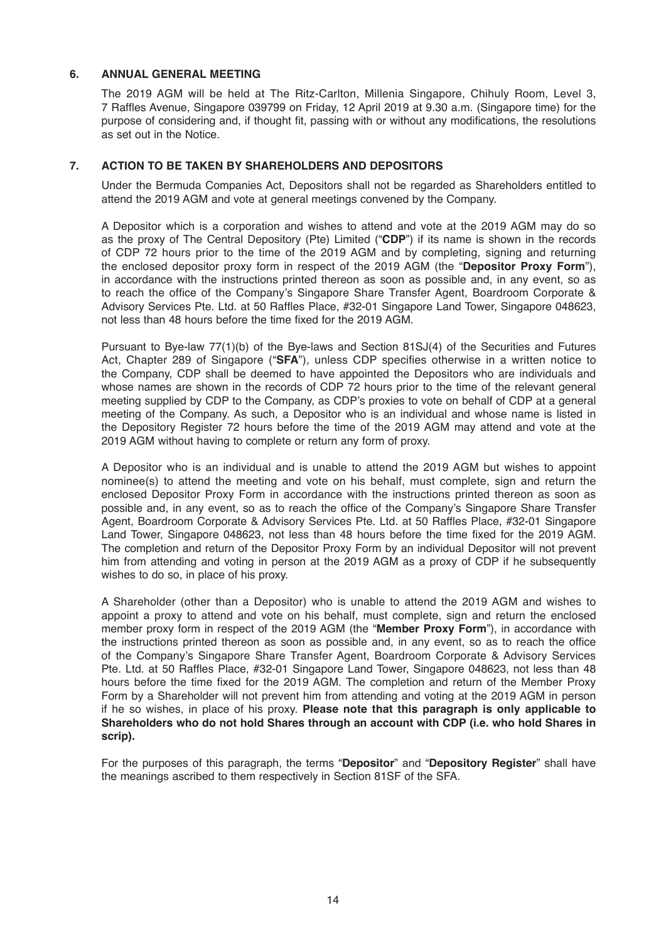#### **6. ANNUAL GENERAL MEETING**

The 2019 AGM will be held at The Ritz-Carlton, Millenia Singapore, Chihuly Room, Level 3, 7 Raffles Avenue, Singapore 039799 on Friday, 12 April 2019 at 9.30 a.m. (Singapore time) for the purpose of considering and, if thought fit, passing with or without any modifications, the resolutions as set out in the Notice.

### **7. ACTION TO BE TAKEN BY SHAREHOLDERS AND DEPOSITORS**

Under the Bermuda Companies Act, Depositors shall not be regarded as Shareholders entitled to attend the 2019 AGM and vote at general meetings convened by the Company.

A Depositor which is a corporation and wishes to attend and vote at the 2019 AGM may do so as the proxy of The Central Depository (Pte) Limited ("**CDP**") if its name is shown in the records of CDP 72 hours prior to the time of the 2019 AGM and by completing, signing and returning the enclosed depositor proxy form in respect of the 2019 AGM (the "**Depositor Proxy Form**"), in accordance with the instructions printed thereon as soon as possible and, in any event, so as to reach the office of the Company's Singapore Share Transfer Agent, Boardroom Corporate & Advisory Services Pte. Ltd. at 50 Raffles Place, #32-01 Singapore Land Tower, Singapore 048623, not less than 48 hours before the time fixed for the 2019 AGM.

Pursuant to Bye-law 77(1)(b) of the Bye-laws and Section 81SJ(4) of the Securities and Futures Act, Chapter 289 of Singapore ("**SFA**"), unless CDP specifies otherwise in a written notice to the Company, CDP shall be deemed to have appointed the Depositors who are individuals and whose names are shown in the records of CDP 72 hours prior to the time of the relevant general meeting supplied by CDP to the Company, as CDP's proxies to vote on behalf of CDP at a general meeting of the Company. As such, a Depositor who is an individual and whose name is listed in the Depository Register 72 hours before the time of the 2019 AGM may attend and vote at the 2019 AGM without having to complete or return any form of proxy.

A Depositor who is an individual and is unable to attend the 2019 AGM but wishes to appoint nominee(s) to attend the meeting and vote on his behalf, must complete, sign and return the enclosed Depositor Proxy Form in accordance with the instructions printed thereon as soon as possible and, in any event, so as to reach the office of the Company's Singapore Share Transfer Agent, Boardroom Corporate & Advisory Services Pte. Ltd. at 50 Raffles Place, #32-01 Singapore Land Tower, Singapore 048623, not less than 48 hours before the time fixed for the 2019 AGM. The completion and return of the Depositor Proxy Form by an individual Depositor will not prevent him from attending and voting in person at the 2019 AGM as a proxy of CDP if he subsequently wishes to do so, in place of his proxy.

A Shareholder (other than a Depositor) who is unable to attend the 2019 AGM and wishes to appoint a proxy to attend and vote on his behalf, must complete, sign and return the enclosed member proxy form in respect of the 2019 AGM (the "**Member Proxy Form**"), in accordance with the instructions printed thereon as soon as possible and, in any event, so as to reach the office of the Company's Singapore Share Transfer Agent, Boardroom Corporate & Advisory Services Pte. Ltd. at 50 Raffles Place, #32-01 Singapore Land Tower, Singapore 048623, not less than 48 hours before the time fixed for the 2019 AGM. The completion and return of the Member Proxy Form by a Shareholder will not prevent him from attending and voting at the 2019 AGM in person if he so wishes, in place of his proxy. **Please note that this paragraph is only applicable to Shareholders who do not hold Shares through an account with CDP (i.e. who hold Shares in scrip).**

For the purposes of this paragraph, the terms "**Depositor**" and "**Depository Register**" shall have the meanings ascribed to them respectively in Section 81SF of the SFA.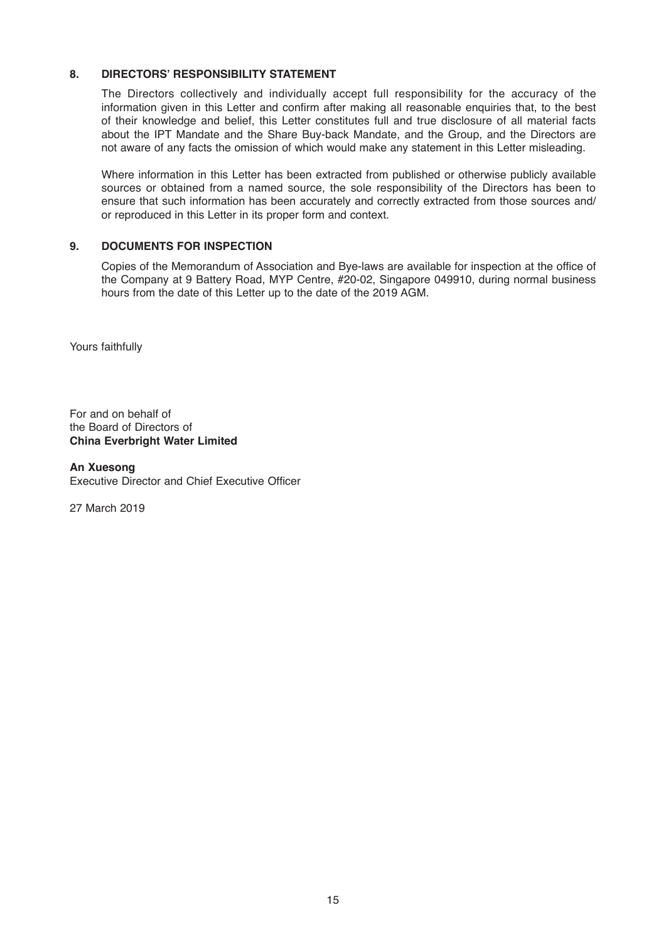# **8. DIRECTORS' RESPONSIBILITY STATEMENT**

The Directors collectively and individually accept full responsibility for the accuracy of the information given in this Letter and confirm after making all reasonable enquiries that, to the best of their knowledge and belief, this Letter constitutes full and true disclosure of all material facts about the IPT Mandate and the Share Buy-back Mandate, and the Group, and the Directors are not aware of any facts the omission of which would make any statement in this Letter misleading.

Where information in this Letter has been extracted from published or otherwise publicly available sources or obtained from a named source, the sole responsibility of the Directors has been to ensure that such information has been accurately and correctly extracted from those sources and/ or reproduced in this Letter in its proper form and context.

# **9. DOCUMENTS FOR INSPECTION**

Copies of the Memorandum of Association and Bye-laws are available for inspection at the office of the Company at 9 Battery Road, MYP Centre, #20-02, Singapore 049910, during normal business hours from the date of this Letter up to the date of the 2019 AGM.

Yours faithfully

For and on behalf of the Board of Directors of **China Everbright Water Limited**

**An Xuesong** Executive Director and Chief Executive Officer

27 March 2019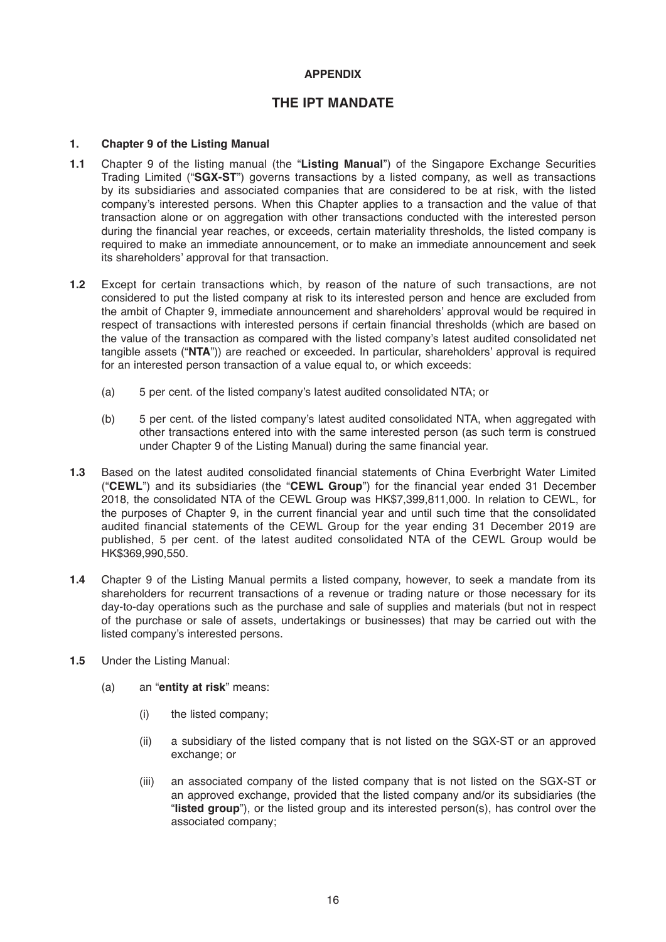# **APPENDIX**

# **THE IPT MANDATE**

### **1. Chapter 9 of the Listing Manual**

- **1.1** Chapter 9 of the listing manual (the "**Listing Manual**") of the Singapore Exchange Securities Trading Limited ("**SGX-ST**") governs transactions by a listed company, as well as transactions by its subsidiaries and associated companies that are considered to be at risk, with the listed company's interested persons. When this Chapter applies to a transaction and the value of that transaction alone or on aggregation with other transactions conducted with the interested person during the financial year reaches, or exceeds, certain materiality thresholds, the listed company is required to make an immediate announcement, or to make an immediate announcement and seek its shareholders' approval for that transaction.
- **1.2** Except for certain transactions which, by reason of the nature of such transactions, are not considered to put the listed company at risk to its interested person and hence are excluded from the ambit of Chapter 9, immediate announcement and shareholders' approval would be required in respect of transactions with interested persons if certain financial thresholds (which are based on the value of the transaction as compared with the listed company's latest audited consolidated net tangible assets ("**NTA**")) are reached or exceeded. In particular, shareholders' approval is required for an interested person transaction of a value equal to, or which exceeds:
	- (a) 5 per cent. of the listed company's latest audited consolidated NTA; or
	- (b) 5 per cent. of the listed company's latest audited consolidated NTA, when aggregated with other transactions entered into with the same interested person (as such term is construed under Chapter 9 of the Listing Manual) during the same financial year.
- **1.3** Based on the latest audited consolidated financial statements of China Everbright Water Limited ("**CEWL**") and its subsidiaries (the "**CEWL Group**") for the financial year ended 31 December 2018, the consolidated NTA of the CEWL Group was HK\$7,399,811,000. In relation to CEWL, for the purposes of Chapter 9, in the current financial year and until such time that the consolidated audited financial statements of the CEWL Group for the year ending 31 December 2019 are published, 5 per cent. of the latest audited consolidated NTA of the CEWL Group would be HK\$369,990,550.
- **1.4** Chapter 9 of the Listing Manual permits a listed company, however, to seek a mandate from its shareholders for recurrent transactions of a revenue or trading nature or those necessary for its day-to-day operations such as the purchase and sale of supplies and materials (but not in respect of the purchase or sale of assets, undertakings or businesses) that may be carried out with the listed company's interested persons.
- **1.5** Under the Listing Manual:
	- (a) an "**entity at risk**" means:
		- (i) the listed company;
		- (ii) a subsidiary of the listed company that is not listed on the SGX-ST or an approved exchange; or
		- (iii) an associated company of the listed company that is not listed on the SGX-ST or an approved exchange, provided that the listed company and/or its subsidiaries (the "**listed group**"), or the listed group and its interested person(s), has control over the associated company;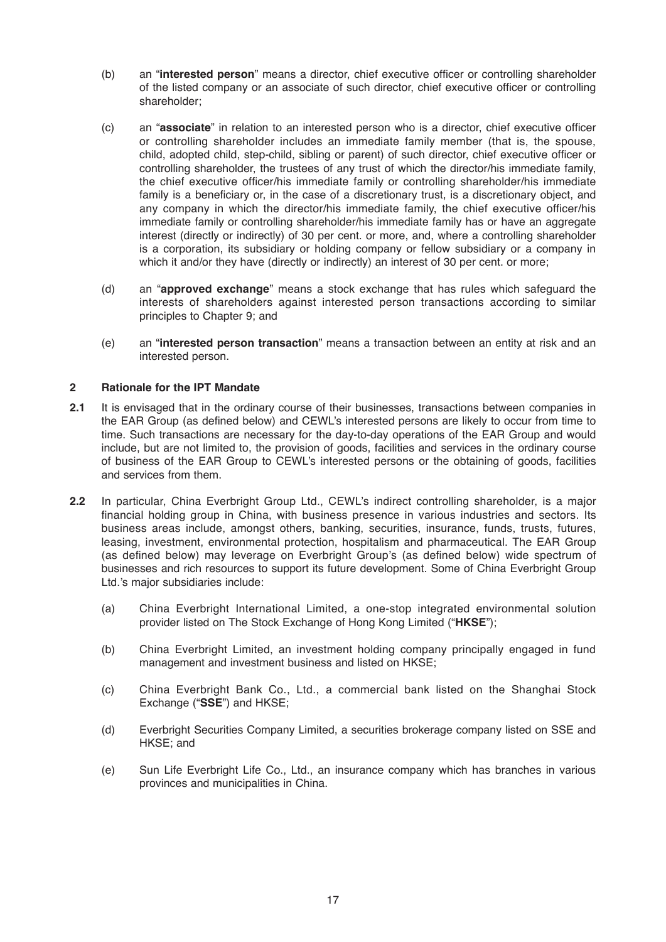- (b) an "**interested person**" means a director, chief executive officer or controlling shareholder of the listed company or an associate of such director, chief executive officer or controlling shareholder;
- (c) an "**associate**" in relation to an interested person who is a director, chief executive officer or controlling shareholder includes an immediate family member (that is, the spouse, child, adopted child, step-child, sibling or parent) of such director, chief executive officer or controlling shareholder, the trustees of any trust of which the director/his immediate family, the chief executive officer/his immediate family or controlling shareholder/his immediate family is a beneficiary or, in the case of a discretionary trust, is a discretionary object, and any company in which the director/his immediate family, the chief executive officer/his immediate family or controlling shareholder/his immediate family has or have an aggregate interest (directly or indirectly) of 30 per cent. or more, and, where a controlling shareholder is a corporation, its subsidiary or holding company or fellow subsidiary or a company in which it and/or they have (directly or indirectly) an interest of 30 per cent. or more;
- (d) an "**approved exchange**" means a stock exchange that has rules which safeguard the interests of shareholders against interested person transactions according to similar principles to Chapter 9; and
- (e) an "**interested person transaction**" means a transaction between an entity at risk and an interested person.

# **2 Rationale for the IPT Mandate**

- **2.1** It is envisaged that in the ordinary course of their businesses, transactions between companies in the EAR Group (as defined below) and CEWL's interested persons are likely to occur from time to time. Such transactions are necessary for the day-to-day operations of the EAR Group and would include, but are not limited to, the provision of goods, facilities and services in the ordinary course of business of the EAR Group to CEWL's interested persons or the obtaining of goods, facilities and services from them.
- **2.2** In particular, China Everbright Group Ltd., CEWL's indirect controlling shareholder, is a major financial holding group in China, with business presence in various industries and sectors. Its business areas include, amongst others, banking, securities, insurance, funds, trusts, futures, leasing, investment, environmental protection, hospitalism and pharmaceutical. The EAR Group (as defined below) may leverage on Everbright Group's (as defined below) wide spectrum of businesses and rich resources to support its future development. Some of China Everbright Group Ltd.'s major subsidiaries include:
	- (a) China Everbright International Limited, a one-stop integrated environmental solution provider listed on The Stock Exchange of Hong Kong Limited ("**HKSE**");
	- (b) China Everbright Limited, an investment holding company principally engaged in fund management and investment business and listed on HKSE;
	- (c) China Everbright Bank Co., Ltd., a commercial bank listed on the Shanghai Stock Exchange ("**SSE**") and HKSE;
	- (d) Everbright Securities Company Limited, a securities brokerage company listed on SSE and HKSE; and
	- (e) Sun Life Everbright Life Co., Ltd., an insurance company which has branches in various provinces and municipalities in China.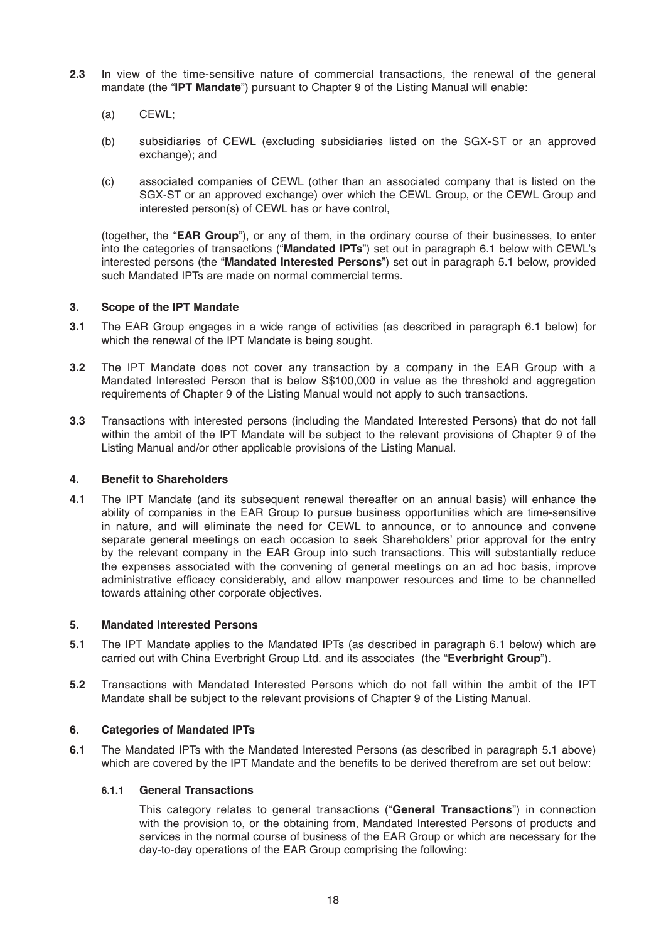- **2.3** In view of the time-sensitive nature of commercial transactions, the renewal of the general mandate (the "**IPT Mandate**") pursuant to Chapter 9 of the Listing Manual will enable:
	- (a) CEWL;
	- (b) subsidiaries of CEWL (excluding subsidiaries listed on the SGX-ST or an approved exchange); and
	- (c) associated companies of CEWL (other than an associated company that is listed on the SGX-ST or an approved exchange) over which the CEWL Group, or the CEWL Group and interested person(s) of CEWL has or have control,

(together, the "**EAR Group**"), or any of them, in the ordinary course of their businesses, to enter into the categories of transactions ("**Mandated IPTs**") set out in paragraph 6.1 below with CEWL's interested persons (the "**Mandated Interested Persons**") set out in paragraph 5.1 below, provided such Mandated IPTs are made on normal commercial terms.

# **3. Scope of the IPT Mandate**

- **3.1** The EAR Group engages in a wide range of activities (as described in paragraph 6.1 below) for which the renewal of the IPT Mandate is being sought.
- **3.2** The IPT Mandate does not cover any transaction by a company in the EAR Group with a Mandated Interested Person that is below S\$100,000 in value as the threshold and aggregation requirements of Chapter 9 of the Listing Manual would not apply to such transactions.
- **3.3** Transactions with interested persons (including the Mandated Interested Persons) that do not fall within the ambit of the IPT Mandate will be subject to the relevant provisions of Chapter 9 of the Listing Manual and/or other applicable provisions of the Listing Manual.

# **4. Benefit to Shareholders**

**4.1** The IPT Mandate (and its subsequent renewal thereafter on an annual basis) will enhance the ability of companies in the EAR Group to pursue business opportunities which are time-sensitive in nature, and will eliminate the need for CEWL to announce, or to announce and convene separate general meetings on each occasion to seek Shareholders' prior approval for the entry by the relevant company in the EAR Group into such transactions. This will substantially reduce the expenses associated with the convening of general meetings on an ad hoc basis, improve administrative efficacy considerably, and allow manpower resources and time to be channelled towards attaining other corporate objectives.

# **5. Mandated Interested Persons**

- **5.1** The IPT Mandate applies to the Mandated IPTs (as described in paragraph 6.1 below) which are carried out with China Everbright Group Ltd. and its associates (the "**Everbright Group**").
- **5.2** Transactions with Mandated Interested Persons which do not fall within the ambit of the IPT Mandate shall be subject to the relevant provisions of Chapter 9 of the Listing Manual.

# **6. Categories of Mandated IPTs**

**6.1** The Mandated IPTs with the Mandated Interested Persons (as described in paragraph 5.1 above) which are covered by the IPT Mandate and the benefits to be derived therefrom are set out below:

# **6.1.1 General Transactions**

 This category relates to general transactions ("**General Transactions**") in connection with the provision to, or the obtaining from, Mandated Interested Persons of products and services in the normal course of business of the EAR Group or which are necessary for the day-to-day operations of the EAR Group comprising the following: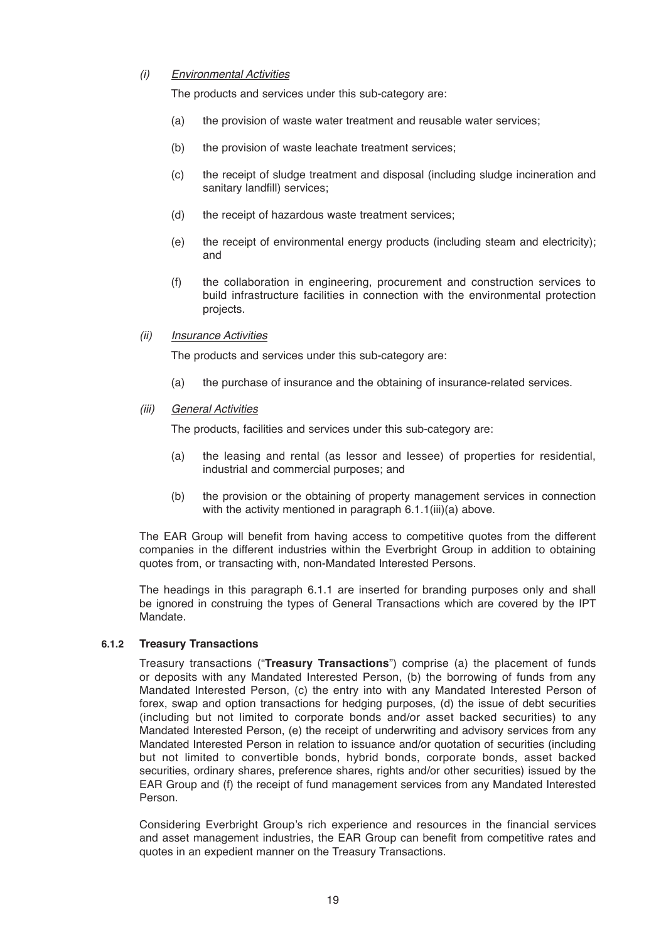### *(i) Environmental Activities*

The products and services under this sub-category are:

- (a) the provision of waste water treatment and reusable water services;
- (b) the provision of waste leachate treatment services;
- (c) the receipt of sludge treatment and disposal (including sludge incineration and sanitary landfill) services;
- (d) the receipt of hazardous waste treatment services;
- (e) the receipt of environmental energy products (including steam and electricity); and
- (f) the collaboration in engineering, procurement and construction services to build infrastructure facilities in connection with the environmental protection projects.
- *(ii) Insurance Activities*

The products and services under this sub-category are:

- (a) the purchase of insurance and the obtaining of insurance-related services.
- *(iii) General Activities*

The products, facilities and services under this sub-category are:

- (a) the leasing and rental (as lessor and lessee) of properties for residential, industrial and commercial purposes; and
- (b) the provision or the obtaining of property management services in connection with the activity mentioned in paragraph 6.1.1(iii)(a) above.

The EAR Group will benefit from having access to competitive quotes from the different companies in the different industries within the Everbright Group in addition to obtaining quotes from, or transacting with, non-Mandated Interested Persons.

The headings in this paragraph 6.1.1 are inserted for branding purposes only and shall be ignored in construing the types of General Transactions which are covered by the IPT Mandate.

#### **6.1.2 Treasury Transactions**

 Treasury transactions ("**Treasury Transactions**") comprise (a) the placement of funds or deposits with any Mandated Interested Person, (b) the borrowing of funds from any Mandated Interested Person, (c) the entry into with any Mandated Interested Person of forex, swap and option transactions for hedging purposes, (d) the issue of debt securities (including but not limited to corporate bonds and/or asset backed securities) to any Mandated Interested Person, (e) the receipt of underwriting and advisory services from any Mandated Interested Person in relation to issuance and/or quotation of securities (including but not limited to convertible bonds, hybrid bonds, corporate bonds, asset backed securities, ordinary shares, preference shares, rights and/or other securities) issued by the EAR Group and (f) the receipt of fund management services from any Mandated Interested Person.

Considering Everbright Group's rich experience and resources in the financial services and asset management industries, the EAR Group can benefit from competitive rates and quotes in an expedient manner on the Treasury Transactions.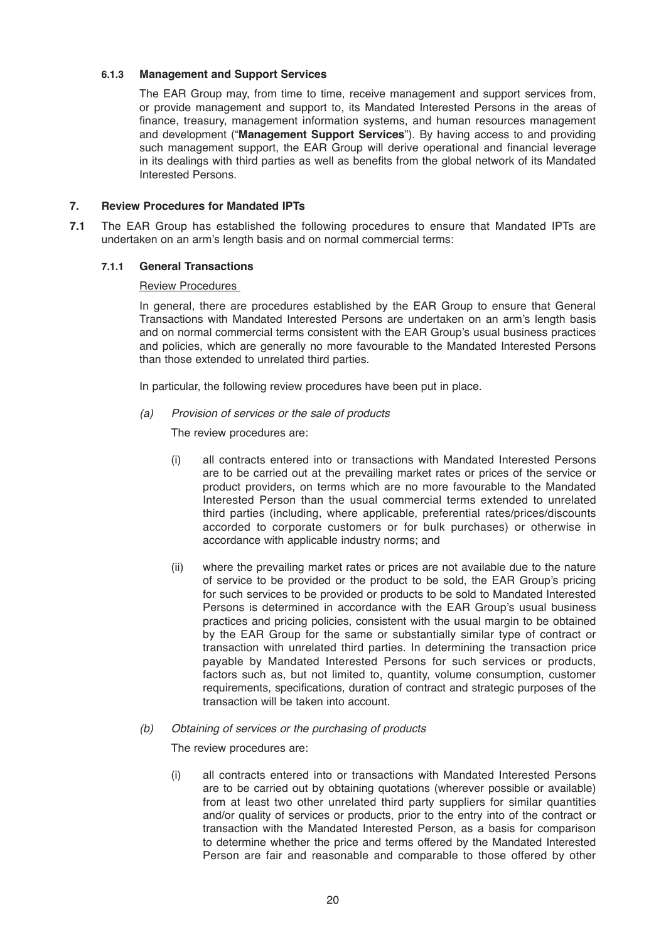#### **6.1.3 Management and Support Services**

 The EAR Group may, from time to time, receive management and support services from, or provide management and support to, its Mandated Interested Persons in the areas of finance, treasury, management information systems, and human resources management and development ("**Management Support Services**"). By having access to and providing such management support, the EAR Group will derive operational and financial leverage in its dealings with third parties as well as benefits from the global network of its Mandated Interested Persons.

### **7. Review Procedures for Mandated IPTs**

**7.1** The EAR Group has established the following procedures to ensure that Mandated IPTs are undertaken on an arm's length basis and on normal commercial terms:

#### **7.1.1 General Transactions**

#### Review Procedures

 In general, there are procedures established by the EAR Group to ensure that General Transactions with Mandated Interested Persons are undertaken on an arm's length basis and on normal commercial terms consistent with the EAR Group's usual business practices and policies, which are generally no more favourable to the Mandated Interested Persons than those extended to unrelated third parties.

In particular, the following review procedures have been put in place.

 *(a) Provision of services or the sale of products* 

The review procedures are:

- (i) all contracts entered into or transactions with Mandated Interested Persons are to be carried out at the prevailing market rates or prices of the service or product providers, on terms which are no more favourable to the Mandated Interested Person than the usual commercial terms extended to unrelated third parties (including, where applicable, preferential rates/prices/discounts accorded to corporate customers or for bulk purchases) or otherwise in accordance with applicable industry norms; and
- (ii) where the prevailing market rates or prices are not available due to the nature of service to be provided or the product to be sold, the EAR Group's pricing for such services to be provided or products to be sold to Mandated Interested Persons is determined in accordance with the EAR Group's usual business practices and pricing policies, consistent with the usual margin to be obtained by the EAR Group for the same or substantially similar type of contract or transaction with unrelated third parties. In determining the transaction price payable by Mandated Interested Persons for such services or products, factors such as, but not limited to, quantity, volume consumption, customer requirements, specifications, duration of contract and strategic purposes of the transaction will be taken into account.
- *(b) Obtaining of services or the purchasing of products*

The review procedures are:

(i) all contracts entered into or transactions with Mandated Interested Persons are to be carried out by obtaining quotations (wherever possible or available) from at least two other unrelated third party suppliers for similar quantities and/or quality of services or products, prior to the entry into of the contract or transaction with the Mandated Interested Person, as a basis for comparison to determine whether the price and terms offered by the Mandated Interested Person are fair and reasonable and comparable to those offered by other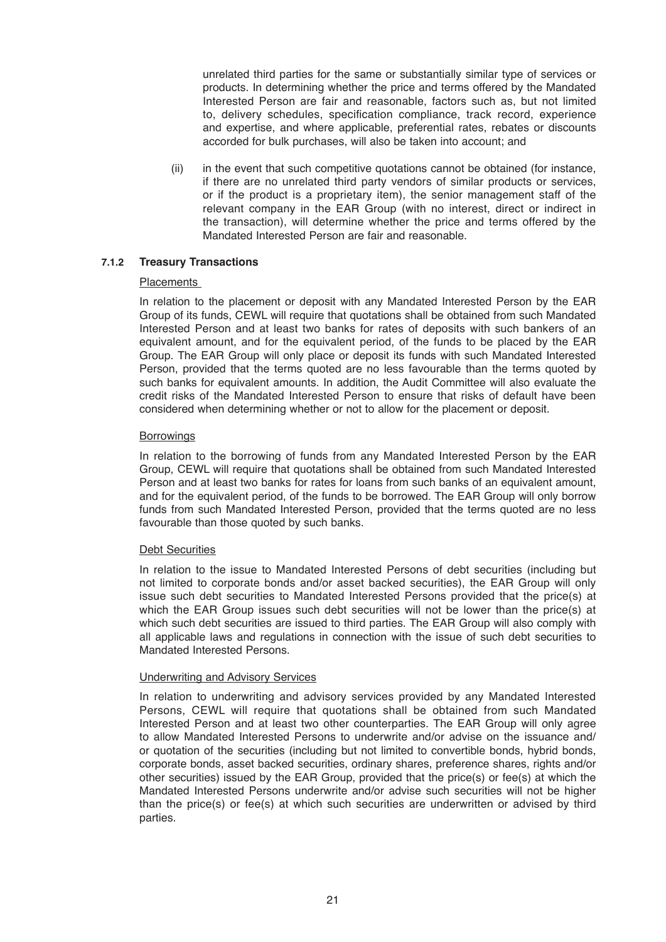unrelated third parties for the same or substantially similar type of services or products. In determining whether the price and terms offered by the Mandated Interested Person are fair and reasonable, factors such as, but not limited to, delivery schedules, specification compliance, track record, experience and expertise, and where applicable, preferential rates, rebates or discounts accorded for bulk purchases, will also be taken into account; and

 (ii) in the event that such competitive quotations cannot be obtained (for instance, if there are no unrelated third party vendors of similar products or services, or if the product is a proprietary item), the senior management staff of the relevant company in the EAR Group (with no interest, direct or indirect in the transaction), will determine whether the price and terms offered by the Mandated Interested Person are fair and reasonable.

# **7.1.2 Treasury Transactions**

#### Placements

In relation to the placement or deposit with any Mandated Interested Person by the EAR Group of its funds, CEWL will require that quotations shall be obtained from such Mandated Interested Person and at least two banks for rates of deposits with such bankers of an equivalent amount, and for the equivalent period, of the funds to be placed by the EAR Group. The EAR Group will only place or deposit its funds with such Mandated Interested Person, provided that the terms quoted are no less favourable than the terms quoted by such banks for equivalent amounts. In addition, the Audit Committee will also evaluate the credit risks of the Mandated Interested Person to ensure that risks of default have been considered when determining whether or not to allow for the placement or deposit.

#### **Borrowings**

In relation to the borrowing of funds from any Mandated Interested Person by the EAR Group, CEWL will require that quotations shall be obtained from such Mandated Interested Person and at least two banks for rates for loans from such banks of an equivalent amount, and for the equivalent period, of the funds to be borrowed. The EAR Group will only borrow funds from such Mandated Interested Person, provided that the terms quoted are no less favourable than those quoted by such banks.

#### Debt Securities

 In relation to the issue to Mandated Interested Persons of debt securities (including but not limited to corporate bonds and/or asset backed securities), the EAR Group will only issue such debt securities to Mandated Interested Persons provided that the price(s) at which the EAR Group issues such debt securities will not be lower than the price(s) at which such debt securities are issued to third parties. The EAR Group will also comply with all applicable laws and regulations in connection with the issue of such debt securities to Mandated Interested Persons.

#### Underwriting and Advisory Services

In relation to underwriting and advisory services provided by any Mandated Interested Persons, CEWL will require that quotations shall be obtained from such Mandated Interested Person and at least two other counterparties. The EAR Group will only agree to allow Mandated Interested Persons to underwrite and/or advise on the issuance and/ or quotation of the securities (including but not limited to convertible bonds, hybrid bonds, corporate bonds, asset backed securities, ordinary shares, preference shares, rights and/or other securities) issued by the EAR Group, provided that the price(s) or fee(s) at which the Mandated Interested Persons underwrite and/or advise such securities will not be higher than the price(s) or fee(s) at which such securities are underwritten or advised by third parties.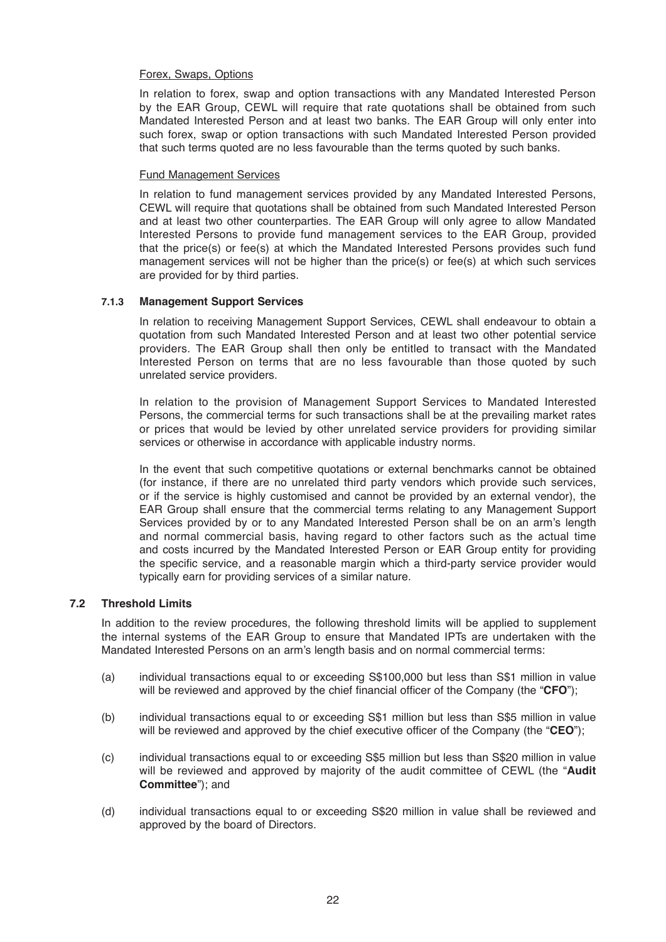#### Forex, Swaps, Options

In relation to forex, swap and option transactions with any Mandated Interested Person by the EAR Group, CEWL will require that rate quotations shall be obtained from such Mandated Interested Person and at least two banks. The EAR Group will only enter into such forex, swap or option transactions with such Mandated Interested Person provided that such terms quoted are no less favourable than the terms quoted by such banks.

### Fund Management Services

 In relation to fund management services provided by any Mandated Interested Persons, CEWL will require that quotations shall be obtained from such Mandated Interested Person and at least two other counterparties. The EAR Group will only agree to allow Mandated Interested Persons to provide fund management services to the EAR Group, provided that the price(s) or fee(s) at which the Mandated Interested Persons provides such fund management services will not be higher than the price(s) or fee(s) at which such services are provided for by third parties.

#### **7.1.3 Management Support Services**

 In relation to receiving Management Support Services, CEWL shall endeavour to obtain a quotation from such Mandated Interested Person and at least two other potential service providers. The EAR Group shall then only be entitled to transact with the Mandated Interested Person on terms that are no less favourable than those quoted by such unrelated service providers.

 In relation to the provision of Management Support Services to Mandated Interested Persons, the commercial terms for such transactions shall be at the prevailing market rates or prices that would be levied by other unrelated service providers for providing similar services or otherwise in accordance with applicable industry norms.

In the event that such competitive quotations or external benchmarks cannot be obtained (for instance, if there are no unrelated third party vendors which provide such services, or if the service is highly customised and cannot be provided by an external vendor), the EAR Group shall ensure that the commercial terms relating to any Management Support Services provided by or to any Mandated Interested Person shall be on an arm's length and normal commercial basis, having regard to other factors such as the actual time and costs incurred by the Mandated Interested Person or EAR Group entity for providing the specific service, and a reasonable margin which a third-party service provider would typically earn for providing services of a similar nature.

# **7.2 Threshold Limits**

In addition to the review procedures, the following threshold limits will be applied to supplement the internal systems of the EAR Group to ensure that Mandated IPTs are undertaken with the Mandated Interested Persons on an arm's length basis and on normal commercial terms:

- (a) individual transactions equal to or exceeding S\$100,000 but less than S\$1 million in value will be reviewed and approved by the chief financial officer of the Company (the "**CFO**");
- (b) individual transactions equal to or exceeding S\$1 million but less than S\$5 million in value will be reviewed and approved by the chief executive officer of the Company (the "**CEO**");
- (c) individual transactions equal to or exceeding S\$5 million but less than S\$20 million in value will be reviewed and approved by majority of the audit committee of CEWL (the "**Audit Committee**"); and
- (d) individual transactions equal to or exceeding S\$20 million in value shall be reviewed and approved by the board of Directors.